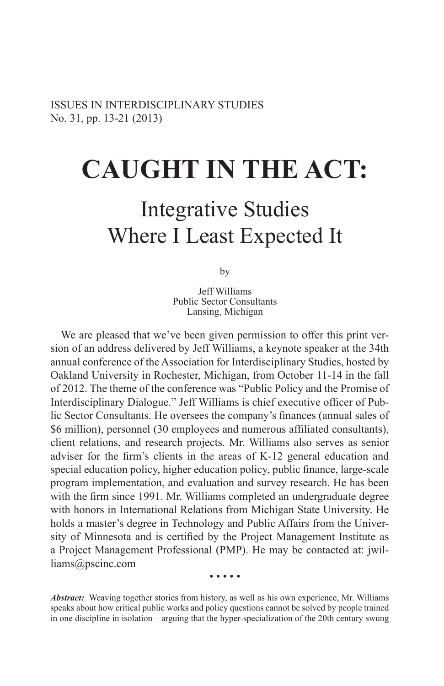# **Caught in the Act:**

# Integrative Studies Where I Least Expected It

by

Jeff Williams Public Sector Consultants Lansing, Michigan

We are pleased that we've been given permission to offer this print version of an address delivered by Jeff Williams, a keynote speaker at the 34th annual conference of the Association for Interdisciplinary Studies, hosted by Oakland University in Rochester, Michigan, from October 11-14 in the fall of 2012. The theme of the conference was "Public Policy and the Promise of Interdisciplinary Dialogue." Jeff Williams is chief executive officer of Public Sector Consultants. He oversees the company's finances (annual sales of \$6 million), personnel (30 employees and numerous affiliated consultants), client relations, and research projects. Mr. Williams also serves as senior adviser for the firm's clients in the areas of K-12 general education and special education policy, higher education policy, public finance, large-scale program implementation, and evaluation and survey research. He has been with the firm since 1991. Mr. Williams completed an undergraduate degree with honors in International Relations from Michigan State University. He holds a master's degree in Technology and Public Affairs from the University of Minnesota and is certified by the Project Management Institute as a Project Management Professional (PMP). He may be contacted at: jwilliams@pscinc.com

• • • • •

*Abstract:* Weaving together stories from history, as well as his own experience, Mr. Williams speaks about how critical public works and policy questions cannot be solved by people trained in one discipline in isolation—arguing that the hyper-specialization of the 20th century swung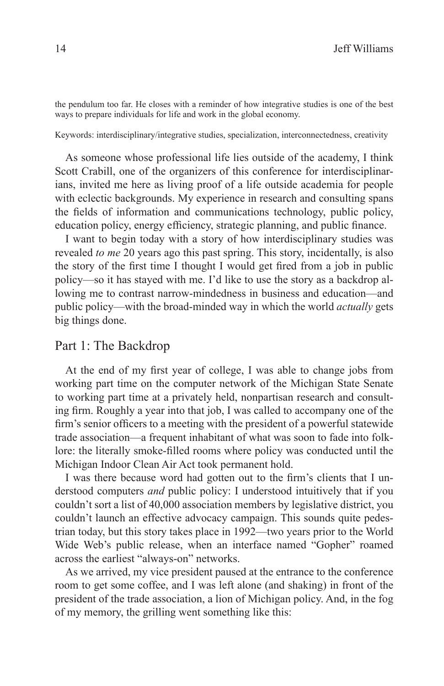the pendulum too far. He closes with a reminder of how integrative studies is one of the best ways to prepare individuals for life and work in the global economy.

Keywords: interdisciplinary/integrative studies, specialization, interconnectedness, creativity

As someone whose professional life lies outside of the academy, I think Scott Crabill, one of the organizers of this conference for interdisciplinarians, invited me here as living proof of a life outside academia for people with eclectic backgrounds. My experience in research and consulting spans the fields of information and communications technology, public policy, education policy, energy efficiency, strategic planning, and public finance.

I want to begin today with a story of how interdisciplinary studies was revealed *to me* 20 years ago this past spring. This story, incidentally, is also the story of the first time I thought I would get fired from a job in public policy—so it has stayed with me. I'd like to use the story as a backdrop allowing me to contrast narrow-mindedness in business and education—and public policy—with the broad-minded way in which the world *actually* gets big things done.

#### Part 1: The Backdrop

At the end of my first year of college, I was able to change jobs from working part time on the computer network of the Michigan State Senate to working part time at a privately held, nonpartisan research and consulting firm. Roughly a year into that job, I was called to accompany one of the firm's senior officers to a meeting with the president of a powerful statewide trade association—a frequent inhabitant of what was soon to fade into folklore: the literally smoke-filled rooms where policy was conducted until the Michigan Indoor Clean Air Act took permanent hold.

I was there because word had gotten out to the firm's clients that I understood computers *and* public policy: I understood intuitively that if you couldn't sort a list of 40,000 association members by legislative district, you couldn't launch an effective advocacy campaign. This sounds quite pedestrian today, but this story takes place in 1992—two years prior to the World Wide Web's public release, when an interface named "Gopher" roamed across the earliest "always-on" networks.

As we arrived, my vice president paused at the entrance to the conference room to get some coffee, and I was left alone (and shaking) in front of the president of the trade association, a lion of Michigan policy. And, in the fog of my memory, the grilling went something like this: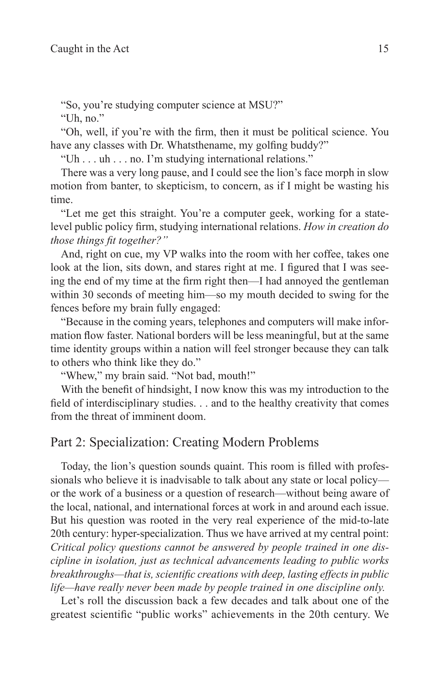"So, you're studying computer science at MSU?"

"Uh, no."

"Oh, well, if you're with the firm, then it must be political science. You have any classes with Dr. Whatsthename, my golfing buddy?"

"Uh . . . uh . . . no. I'm studying international relations."

There was a very long pause, and I could see the lion's face morph in slow motion from banter, to skepticism, to concern, as if I might be wasting his time.

"Let me get this straight. You're a computer geek, working for a statelevel public policy firm, studying international relations. *How in creation do those things fit together?"*

And, right on cue, my VP walks into the room with her coffee, takes one look at the lion, sits down, and stares right at me. I figured that I was seeing the end of my time at the firm right then—I had annoyed the gentleman within 30 seconds of meeting him—so my mouth decided to swing for the fences before my brain fully engaged:

"Because in the coming years, telephones and computers will make information flow faster. National borders will be less meaningful, but at the same time identity groups within a nation will feel stronger because they can talk to others who think like they do."

"Whew," my brain said. "Not bad, mouth!"

With the benefit of hindsight, I now know this was my introduction to the field of interdisciplinary studies. . . and to the healthy creativity that comes from the threat of imminent doom.

#### Part 2: Specialization: Creating Modern Problems

Today, the lion's question sounds quaint. This room is filled with professionals who believe it is inadvisable to talk about any state or local policy or the work of a business or a question of research—without being aware of the local, national, and international forces at work in and around each issue. But his question was rooted in the very real experience of the mid-to-late 20th century: hyper-specialization. Thus we have arrived at my central point: *Critical policy questions cannot be answered by people trained in one discipline in isolation, just as technical advancements leading to public works breakthroughs—that is, scientific creations with deep, lasting effects in public life—have really never been made by people trained in one discipline only.*

Let's roll the discussion back a few decades and talk about one of the greatest scientific "public works" achievements in the 20th century. We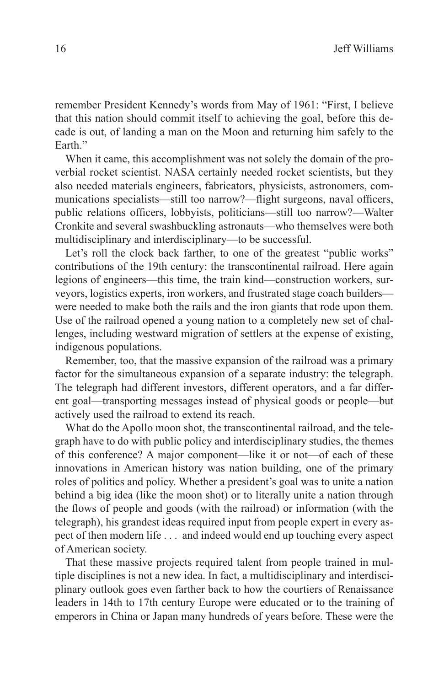remember President Kennedy's words from May of 1961: "First, I believe that this nation should commit itself to achieving the goal, before this decade is out, of landing a man on the Moon and returning him safely to the Earth<sup>"</sup>

When it came, this accomplishment was not solely the domain of the proverbial rocket scientist. NASA certainly needed rocket scientists, but they also needed materials engineers, fabricators, physicists, astronomers, communications specialists—still too narrow?—flight surgeons, naval officers, public relations officers, lobbyists, politicians—still too narrow?—Walter Cronkite and several swashbuckling astronauts—who themselves were both multidisciplinary and interdisciplinary—to be successful.

Let's roll the clock back farther, to one of the greatest "public works" contributions of the 19th century: the transcontinental railroad. Here again legions of engineers—this time, the train kind—construction workers, surveyors, logistics experts, iron workers, and frustrated stage coach builders were needed to make both the rails and the iron giants that rode upon them. Use of the railroad opened a young nation to a completely new set of challenges, including westward migration of settlers at the expense of existing, indigenous populations.

Remember, too, that the massive expansion of the railroad was a primary factor for the simultaneous expansion of a separate industry: the telegraph. The telegraph had different investors, different operators, and a far different goal—transporting messages instead of physical goods or people—but actively used the railroad to extend its reach.

What do the Apollo moon shot, the transcontinental railroad, and the telegraph have to do with public policy and interdisciplinary studies, the themes of this conference? A major component—like it or not—of each of these innovations in American history was nation building, one of the primary roles of politics and policy. Whether a president's goal was to unite a nation behind a big idea (like the moon shot) or to literally unite a nation through the flows of people and goods (with the railroad) or information (with the telegraph), his grandest ideas required input from people expert in every aspect of then modern life . . . and indeed would end up touching every aspect of American society.

That these massive projects required talent from people trained in multiple disciplines is not a new idea. In fact, a multidisciplinary and interdisciplinary outlook goes even farther back to how the courtiers of Renaissance leaders in 14th to 17th century Europe were educated or to the training of emperors in China or Japan many hundreds of years before. These were the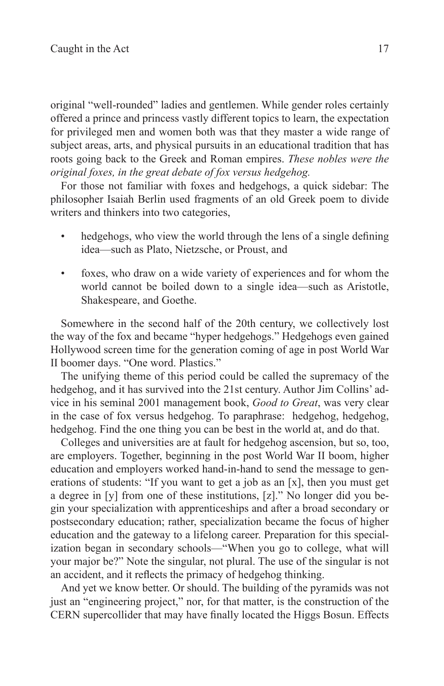original "well-rounded" ladies and gentlemen. While gender roles certainly offered a prince and princess vastly different topics to learn, the expectation for privileged men and women both was that they master a wide range of subject areas, arts, and physical pursuits in an educational tradition that has roots going back to the Greek and Roman empires. *These nobles were the original foxes, in the great debate of fox versus hedgehog.*

For those not familiar with foxes and hedgehogs, a quick sidebar: The philosopher Isaiah Berlin used fragments of an old Greek poem to divide writers and thinkers into two categories,

- hedgehogs, who view the world through the lens of a single defining idea—such as Plato, Nietzsche, or Proust, and
- foxes, who draw on a wide variety of experiences and for whom the world cannot be boiled down to a single idea—such as Aristotle, Shakespeare, and Goethe.

Somewhere in the second half of the 20th century, we collectively lost the way of the fox and became "hyper hedgehogs." Hedgehogs even gained Hollywood screen time for the generation coming of age in post World War II boomer days. "One word. Plastics."

The unifying theme of this period could be called the supremacy of the hedgehog, and it has survived into the 21st century. Author Jim Collins' advice in his seminal 2001 management book, *Good to Great*, was very clear in the case of fox versus hedgehog. To paraphrase: hedgehog, hedgehog, hedgehog. Find the one thing you can be best in the world at, and do that.

Colleges and universities are at fault for hedgehog ascension, but so, too, are employers. Together, beginning in the post World War II boom, higher education and employers worked hand-in-hand to send the message to generations of students: "If you want to get a job as an [x], then you must get a degree in [y] from one of these institutions, [z]." No longer did you begin your specialization with apprenticeships and after a broad secondary or postsecondary education; rather, specialization became the focus of higher education and the gateway to a lifelong career. Preparation for this specialization began in secondary schools—"When you go to college, what will your major be?" Note the singular, not plural. The use of the singular is not an accident, and it reflects the primacy of hedgehog thinking.

And yet we know better. Or should. The building of the pyramids was not just an "engineering project," nor, for that matter, is the construction of the CERN supercollider that may have finally located the Higgs Bosun. Effects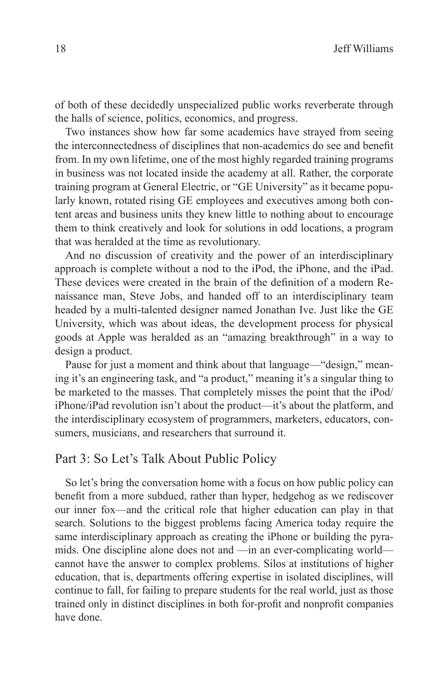of both of these decidedly unspecialized public works reverberate through the halls of science, politics, economics, and progress.

Two instances show how far some academics have strayed from seeing the interconnectedness of disciplines that non-academics do see and benefit from. In my own lifetime, one of the most highly regarded training programs in business was not located inside the academy at all. Rather, the corporate training program at General Electric, or "GE University" as it became popularly known, rotated rising GE employees and executives among both content areas and business units they knew little to nothing about to encourage them to think creatively and look for solutions in odd locations, a program that was heralded at the time as revolutionary.

And no discussion of creativity and the power of an interdisciplinary approach is complete without a nod to the iPod, the iPhone, and the iPad. These devices were created in the brain of the definition of a modern Renaissance man, Steve Jobs, and handed off to an interdisciplinary team headed by a multi-talented designer named Jonathan Ive. Just like the GE University, which was about ideas, the development process for physical goods at Apple was heralded as an "amazing breakthrough" in a way to design a product.

Pause for just a moment and think about that language—"design," meaning it's an engineering task, and "a product," meaning it's a singular thing to be marketed to the masses. That completely misses the point that the iPod/ iPhone/iPad revolution isn't about the product—it's about the platform, and the interdisciplinary ecosystem of programmers, marketers, educators, consumers, musicians, and researchers that surround it.

### Part 3: So Let's Talk About Public Policy

So let's bring the conversation home with a focus on how public policy can benefit from a more subdued, rather than hyper, hedgehog as we rediscover our inner fox—and the critical role that higher education can play in that search. Solutions to the biggest problems facing America today require the same interdisciplinary approach as creating the iPhone or building the pyramids. One discipline alone does not and —in an ever-complicating world cannot have the answer to complex problems. Silos at institutions of higher education, that is, departments offering expertise in isolated disciplines, will continue to fall, for failing to prepare students for the real world, just as those trained only in distinct disciplines in both for-profit and nonprofit companies have done.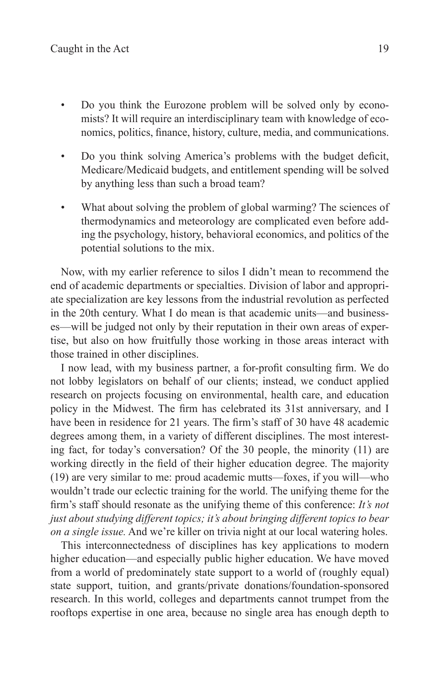- Do you think the Eurozone problem will be solved only by economists? It will require an interdisciplinary team with knowledge of economics, politics, finance, history, culture, media, and communications.
- Do you think solving America's problems with the budget deficit, Medicare/Medicaid budgets, and entitlement spending will be solved by anything less than such a broad team?
- What about solving the problem of global warming? The sciences of thermodynamics and meteorology are complicated even before adding the psychology, history, behavioral economics, and politics of the potential solutions to the mix.

Now, with my earlier reference to silos I didn't mean to recommend the end of academic departments or specialties. Division of labor and appropriate specialization are key lessons from the industrial revolution as perfected in the 20th century. What I do mean is that academic units—and businesses—will be judged not only by their reputation in their own areas of expertise, but also on how fruitfully those working in those areas interact with those trained in other disciplines.

I now lead, with my business partner, a for-profit consulting firm. We do not lobby legislators on behalf of our clients; instead, we conduct applied research on projects focusing on environmental, health care, and education policy in the Midwest. The firm has celebrated its 31st anniversary, and I have been in residence for 21 years. The firm's staff of 30 have 48 academic degrees among them, in a variety of different disciplines. The most interesting fact, for today's conversation? Of the 30 people, the minority (11) are working directly in the field of their higher education degree. The majority (19) are very similar to me: proud academic mutts—foxes, if you will—who wouldn't trade our eclectic training for the world. The unifying theme for the firm's staff should resonate as the unifying theme of this conference: *It's not just about studying different topics; it's about bringing different topics to bear on a single issue.* And we're killer on trivia night at our local watering holes.

This interconnectedness of disciplines has key applications to modern higher education—and especially public higher education. We have moved from a world of predominately state support to a world of (roughly equal) state support, tuition, and grants/private donations/foundation-sponsored research. In this world, colleges and departments cannot trumpet from the rooftops expertise in one area, because no single area has enough depth to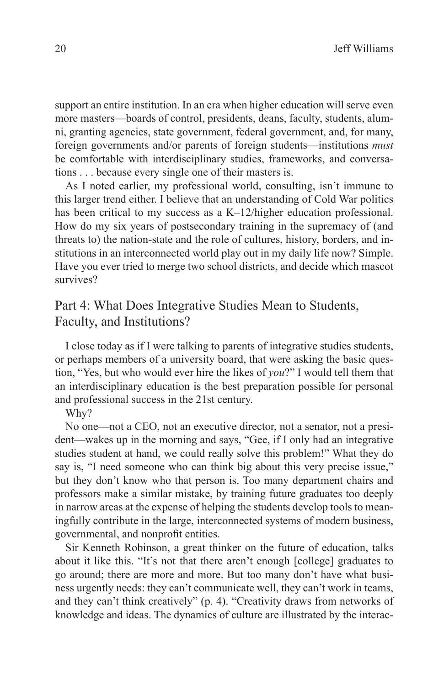support an entire institution. In an era when higher education will serve even more masters—boards of control, presidents, deans, faculty, students, alumni, granting agencies, state government, federal government, and, for many, foreign governments and/or parents of foreign students—institutions *must*  be comfortable with interdisciplinary studies, frameworks, and conversations . . . because every single one of their masters is.

As I noted earlier, my professional world, consulting, isn't immune to this larger trend either. I believe that an understanding of Cold War politics has been critical to my success as a K–12/higher education professional. How do my six years of postsecondary training in the supremacy of (and threats to) the nation-state and the role of cultures, history, borders, and institutions in an interconnected world play out in my daily life now? Simple. Have you ever tried to merge two school districts, and decide which mascot survives?

## Part 4: What Does Integrative Studies Mean to Students, Faculty, and Institutions?

I close today as if I were talking to parents of integrative studies students, or perhaps members of a university board, that were asking the basic question, "Yes, but who would ever hire the likes of *you*?" I would tell them that an interdisciplinary education is the best preparation possible for personal and professional success in the 21st century.

Why?

No one—not a CEO, not an executive director, not a senator, not a president—wakes up in the morning and says, "Gee, if I only had an integrative studies student at hand, we could really solve this problem!" What they do say is, "I need someone who can think big about this very precise issue," but they don't know who that person is. Too many department chairs and professors make a similar mistake, by training future graduates too deeply in narrow areas at the expense of helping the students develop tools to meaningfully contribute in the large, interconnected systems of modern business, governmental, and nonprofit entities.

Sir Kenneth Robinson, a great thinker on the future of education, talks about it like this. "It's not that there aren't enough [college] graduates to go around; there are more and more. But too many don't have what business urgently needs: they can't communicate well, they can't work in teams, and they can't think creatively" (p. 4). "Creativity draws from networks of knowledge and ideas. The dynamics of culture are illustrated by the interac